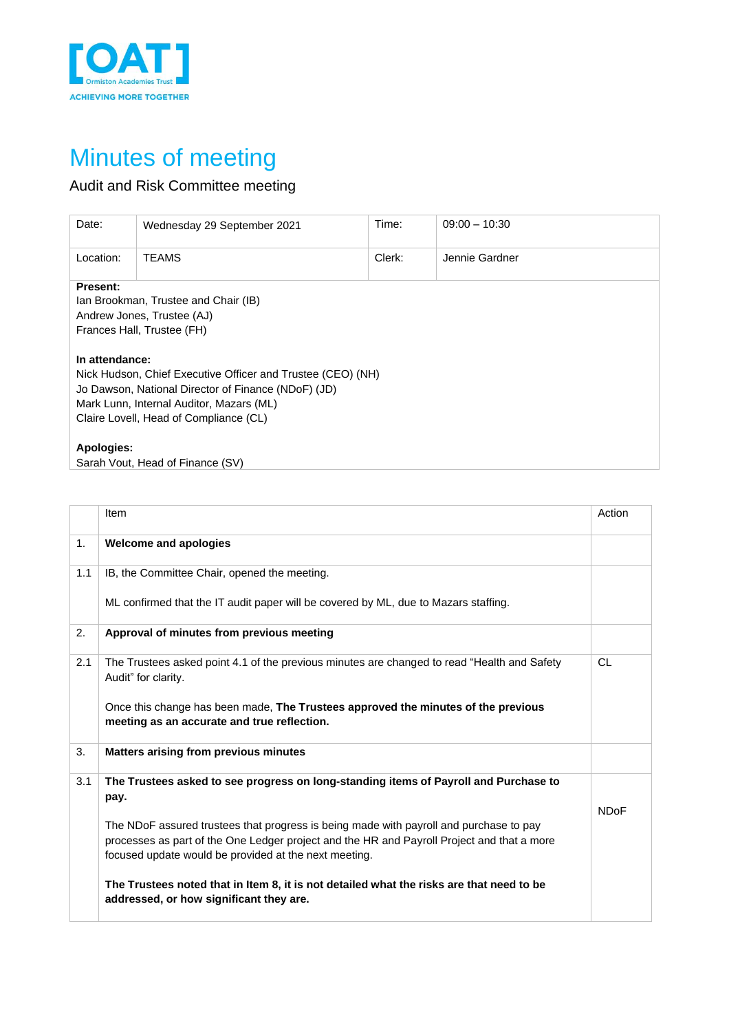

## Minutes of meeting

## Audit and Risk Committee meeting

| Date:           | Wednesday 29 September 2021                                                                                                                                                                              | Time:  | $09:00 - 10:30$ |
|-----------------|----------------------------------------------------------------------------------------------------------------------------------------------------------------------------------------------------------|--------|-----------------|
| Location:       | TEAMS                                                                                                                                                                                                    | Clerk: | Jennie Gardner  |
| <b>Present:</b> | Ian Brookman, Trustee and Chair (IB)<br>Andrew Jones, Trustee (AJ)<br>Frances Hall, Trustee (FH)                                                                                                         |        |                 |
| In attendance:  | Nick Hudson, Chief Executive Officer and Trustee (CEO) (NH)<br>Jo Dawson, National Director of Finance (NDoF) (JD)<br>Mark Lunn, Internal Auditor, Mazars (ML)<br>Claire Lovell, Head of Compliance (CL) |        |                 |
| Apologies:      | Sarah Vout, Head of Finance (SV)                                                                                                                                                                         |        |                 |

|     | Item                                                                                                                                                                                                                                          | Action      |
|-----|-----------------------------------------------------------------------------------------------------------------------------------------------------------------------------------------------------------------------------------------------|-------------|
| 1.  | <b>Welcome and apologies</b>                                                                                                                                                                                                                  |             |
| 1.1 | IB, the Committee Chair, opened the meeting.                                                                                                                                                                                                  |             |
|     | ML confirmed that the IT audit paper will be covered by ML, due to Mazars staffing.                                                                                                                                                           |             |
| 2.  | Approval of minutes from previous meeting                                                                                                                                                                                                     |             |
| 2.1 | The Trustees asked point 4.1 of the previous minutes are changed to read "Health and Safety<br>Audit" for clarity.                                                                                                                            | <b>CL</b>   |
|     | Once this change has been made, The Trustees approved the minutes of the previous<br>meeting as an accurate and true reflection.                                                                                                              |             |
| 3.  | <b>Matters arising from previous minutes</b>                                                                                                                                                                                                  |             |
| 3.1 | The Trustees asked to see progress on long-standing items of Payroll and Purchase to<br>pay.                                                                                                                                                  | <b>NDoF</b> |
|     | The NDoF assured trustees that progress is being made with payroll and purchase to pay<br>processes as part of the One Ledger project and the HR and Payroll Project and that a more<br>focused update would be provided at the next meeting. |             |
|     | The Trustees noted that in Item 8, it is not detailed what the risks are that need to be<br>addressed, or how significant they are.                                                                                                           |             |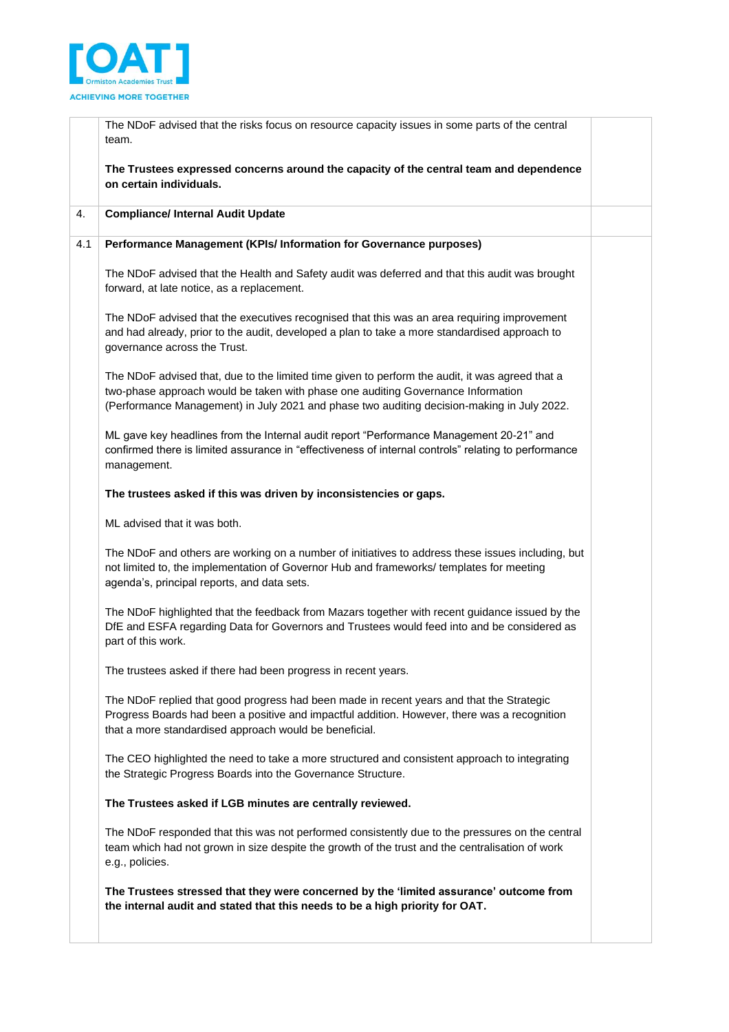

| The NDoF advised that the risks focus on resource capacity issues in some parts of the central<br>team.                                                                                                                                                                           |
|-----------------------------------------------------------------------------------------------------------------------------------------------------------------------------------------------------------------------------------------------------------------------------------|
| The Trustees expressed concerns around the capacity of the central team and dependence<br>on certain individuals.                                                                                                                                                                 |
| <b>Compliance/ Internal Audit Update</b>                                                                                                                                                                                                                                          |
| Performance Management (KPIs/ Information for Governance purposes)                                                                                                                                                                                                                |
| The NDoF advised that the Health and Safety audit was deferred and that this audit was brought<br>forward, at late notice, as a replacement.                                                                                                                                      |
| The NDoF advised that the executives recognised that this was an area requiring improvement<br>and had already, prior to the audit, developed a plan to take a more standardised approach to<br>governance across the Trust.                                                      |
| The NDoF advised that, due to the limited time given to perform the audit, it was agreed that a<br>two-phase approach would be taken with phase one auditing Governance Information<br>(Performance Management) in July 2021 and phase two auditing decision-making in July 2022. |
| ML gave key headlines from the Internal audit report "Performance Management 20-21" and<br>confirmed there is limited assurance in "effectiveness of internal controls" relating to performance<br>management.                                                                    |
| The trustees asked if this was driven by inconsistencies or gaps.                                                                                                                                                                                                                 |
| ML advised that it was both.                                                                                                                                                                                                                                                      |
| The NDoF and others are working on a number of initiatives to address these issues including, but<br>not limited to, the implementation of Governor Hub and frameworks/ templates for meeting<br>agenda's, principal reports, and data sets.                                      |
| The NDoF highlighted that the feedback from Mazars together with recent guidance issued by the<br>DfE and ESFA regarding Data for Governors and Trustees would feed into and be considered as<br>part of this work.                                                               |
| The trustees asked if there had been progress in recent years.                                                                                                                                                                                                                    |
| The NDoF replied that good progress had been made in recent years and that the Strategic<br>Progress Boards had been a positive and impactful addition. However, there was a recognition<br>that a more standardised approach would be beneficial.                                |
| The CEO highlighted the need to take a more structured and consistent approach to integrating<br>the Strategic Progress Boards into the Governance Structure.                                                                                                                     |
| The Trustees asked if LGB minutes are centrally reviewed.                                                                                                                                                                                                                         |
| The NDoF responded that this was not performed consistently due to the pressures on the central<br>team which had not grown in size despite the growth of the trust and the centralisation of work<br>e.g., policies.                                                             |
| The Trustees stressed that they were concerned by the 'limited assurance' outcome from<br>the internal audit and stated that this needs to be a high priority for OAT.                                                                                                            |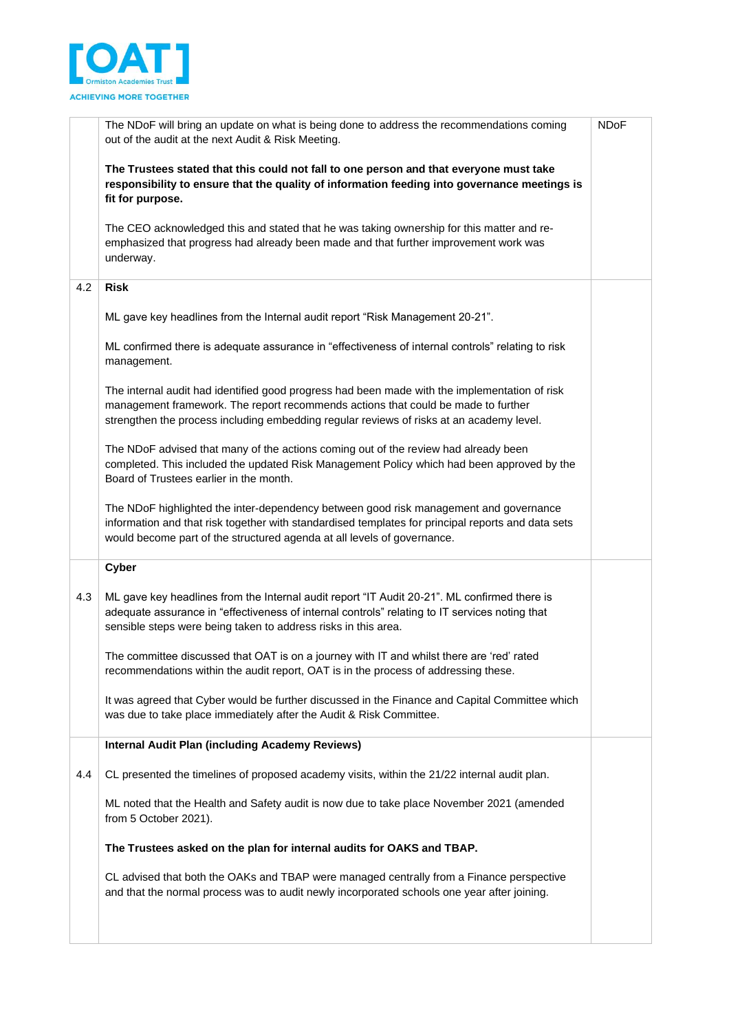

|     | The NDoF will bring an update on what is being done to address the recommendations coming<br>out of the audit at the next Audit & Risk Meeting.                                                                                                                                | <b>NDoF</b> |
|-----|--------------------------------------------------------------------------------------------------------------------------------------------------------------------------------------------------------------------------------------------------------------------------------|-------------|
|     | The Trustees stated that this could not fall to one person and that everyone must take<br>responsibility to ensure that the quality of information feeding into governance meetings is<br>fit for purpose.                                                                     |             |
|     | The CEO acknowledged this and stated that he was taking ownership for this matter and re-<br>emphasized that progress had already been made and that further improvement work was<br>underway.                                                                                 |             |
| 4.2 | <b>Risk</b>                                                                                                                                                                                                                                                                    |             |
|     | ML gave key headlines from the Internal audit report "Risk Management 20-21".                                                                                                                                                                                                  |             |
|     | ML confirmed there is adequate assurance in "effectiveness of internal controls" relating to risk<br>management.                                                                                                                                                               |             |
|     | The internal audit had identified good progress had been made with the implementation of risk<br>management framework. The report recommends actions that could be made to further<br>strengthen the process including embedding regular reviews of risks at an academy level. |             |
|     | The NDoF advised that many of the actions coming out of the review had already been<br>completed. This included the updated Risk Management Policy which had been approved by the<br>Board of Trustees earlier in the month.                                                   |             |
|     | The NDoF highlighted the inter-dependency between good risk management and governance<br>information and that risk together with standardised templates for principal reports and data sets<br>would become part of the structured agenda at all levels of governance.         |             |
|     | Cyber                                                                                                                                                                                                                                                                          |             |
| 4.3 | ML gave key headlines from the Internal audit report "IT Audit 20-21". ML confirmed there is<br>adequate assurance in "effectiveness of internal controls" relating to IT services noting that<br>sensible steps were being taken to address risks in this area.               |             |
|     | The committee discussed that OAT is on a journey with IT and whilst there are 'red' rated<br>recommendations within the audit report, OAT is in the process of addressing these.                                                                                               |             |
|     | It was agreed that Cyber would be further discussed in the Finance and Capital Committee which<br>was due to take place immediately after the Audit & Risk Committee.                                                                                                          |             |
|     | <b>Internal Audit Plan (including Academy Reviews)</b>                                                                                                                                                                                                                         |             |
| 4.4 | CL presented the timelines of proposed academy visits, within the 21/22 internal audit plan.                                                                                                                                                                                   |             |
|     | ML noted that the Health and Safety audit is now due to take place November 2021 (amended<br>from 5 October 2021).                                                                                                                                                             |             |
|     | The Trustees asked on the plan for internal audits for OAKS and TBAP.                                                                                                                                                                                                          |             |
|     | CL advised that both the OAKs and TBAP were managed centrally from a Finance perspective<br>and that the normal process was to audit newly incorporated schools one year after joining.                                                                                        |             |
|     |                                                                                                                                                                                                                                                                                |             |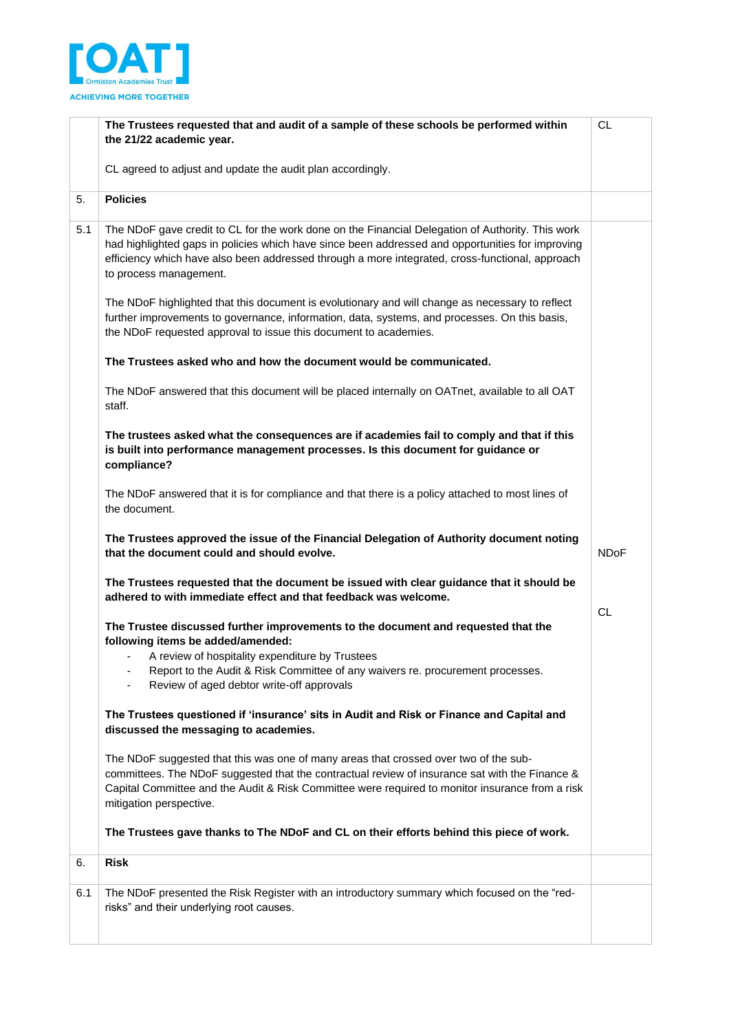

|     | The Trustees requested that and audit of a sample of these schools be performed within                                                                                                                                                                                                                                            | CL.         |
|-----|-----------------------------------------------------------------------------------------------------------------------------------------------------------------------------------------------------------------------------------------------------------------------------------------------------------------------------------|-------------|
|     | the 21/22 academic year.                                                                                                                                                                                                                                                                                                          |             |
|     | CL agreed to adjust and update the audit plan accordingly.                                                                                                                                                                                                                                                                        |             |
| 5.  | <b>Policies</b>                                                                                                                                                                                                                                                                                                                   |             |
| 5.1 | The NDoF gave credit to CL for the work done on the Financial Delegation of Authority. This work<br>had highlighted gaps in policies which have since been addressed and opportunities for improving<br>efficiency which have also been addressed through a more integrated, cross-functional, approach<br>to process management. |             |
|     | The NDoF highlighted that this document is evolutionary and will change as necessary to reflect<br>further improvements to governance, information, data, systems, and processes. On this basis,<br>the NDoF requested approval to issue this document to academies.                                                              |             |
|     | The Trustees asked who and how the document would be communicated.                                                                                                                                                                                                                                                                |             |
|     | The NDoF answered that this document will be placed internally on OATnet, available to all OAT<br>staff.                                                                                                                                                                                                                          |             |
|     | The trustees asked what the consequences are if academies fail to comply and that if this<br>is built into performance management processes. Is this document for guidance or<br>compliance?                                                                                                                                      |             |
|     | The NDoF answered that it is for compliance and that there is a policy attached to most lines of<br>the document.                                                                                                                                                                                                                 |             |
|     | The Trustees approved the issue of the Financial Delegation of Authority document noting<br>that the document could and should evolve.                                                                                                                                                                                            | <b>NDoF</b> |
|     | The Trustees requested that the document be issued with clear guidance that it should be<br>adhered to with immediate effect and that feedback was welcome.                                                                                                                                                                       | CL.         |
|     | The Trustee discussed further improvements to the document and requested that the<br>following items be added/amended:<br>A review of hospitality expenditure by Trustees                                                                                                                                                         |             |
|     | Report to the Audit & Risk Committee of any waivers re. procurement processes.<br>Review of aged debtor write-off approvals                                                                                                                                                                                                       |             |
|     | The Trustees questioned if 'insurance' sits in Audit and Risk or Finance and Capital and<br>discussed the messaging to academies.                                                                                                                                                                                                 |             |
|     | The NDoF suggested that this was one of many areas that crossed over two of the sub-<br>committees. The NDoF suggested that the contractual review of insurance sat with the Finance &<br>Capital Committee and the Audit & Risk Committee were required to monitor insurance from a risk<br>mitigation perspective.              |             |
|     | The Trustees gave thanks to The NDoF and CL on their efforts behind this piece of work.                                                                                                                                                                                                                                           |             |
| 6.  | <b>Risk</b>                                                                                                                                                                                                                                                                                                                       |             |
| 6.1 | The NDoF presented the Risk Register with an introductory summary which focused on the "red-<br>risks" and their underlying root causes.                                                                                                                                                                                          |             |